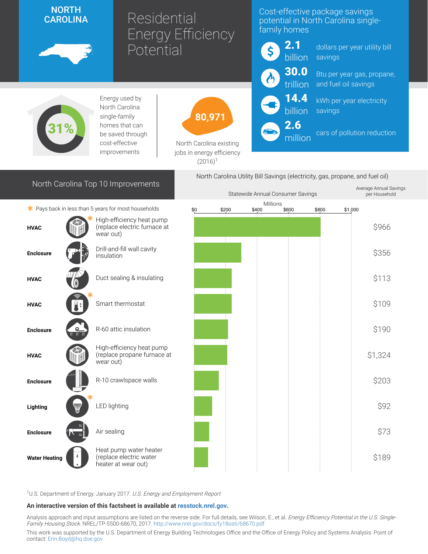# **NORTH<br>CAROLINA**

## Residential Energy Efficiency **Potential**

### Cost-effective package savings potential in North Carolina singlefamily homes



dollars per year utility bill savings

Btu per year gas, propane, and fuel oil savings

kWh per year electricity savings

cars of pollution reduction

per Household



Energy used by North Carolina single-family homes that can be saved through cost-effective improvements



North Carolina existing jobs in energy efficiency  $(2016)^1$ 

## North Carolina Top 10 Improvements

North Carolina Utility Bill Savings (electricity, gas, propane, and fuel oil) Average Annual Savings

Statewide Annual Consumer Savings

2.6 million

|                      |                                     |                                                                          | Statewide Armuar Consumer Savings |       |  |                   |       |       |         | bei Linneserinin |
|----------------------|-------------------------------------|--------------------------------------------------------------------------|-----------------------------------|-------|--|-------------------|-------|-------|---------|------------------|
|                      |                                     | * Pays back in less than 5 years for most households                     | \$0                               | \$200 |  | Millions<br>\$400 | \$600 | \$800 | \$1,000 |                  |
| <b>HVAC</b>          |                                     | High-efficiency heat pump<br>(replace electric furnace at<br>wear out)   |                                   |       |  |                   |       |       |         | \$966            |
| <b>Enclosure</b>     |                                     | Drill-and-fill wall cavity<br>insulation                                 |                                   |       |  |                   |       |       |         | \$356            |
| <b>HVAC</b>          |                                     | Duct sealing & insulating                                                |                                   |       |  |                   |       |       |         | \$113            |
| <b>HVAC</b>          |                                     | Smart thermostat                                                         |                                   |       |  |                   |       |       |         | \$109            |
| <b>Enclosure</b>     | $\circ$<br>$\overline{\mathcal{U}}$ | R-60 attic insulation                                                    |                                   |       |  |                   |       |       |         | \$190            |
| <b>HVAC</b>          |                                     | High-efficiency heat pump<br>(replace propane furnace at<br>wear out)    |                                   |       |  |                   |       |       |         | \$1,324          |
| <b>Enclosure</b>     |                                     | R-10 crawlspace walls                                                    |                                   |       |  |                   |       |       |         | \$203            |
| Lighting             | W                                   | LED lighting                                                             |                                   |       |  |                   |       |       |         | \$92             |
| <b>Enclosure</b>     |                                     | Air sealing                                                              |                                   |       |  |                   |       |       |         | \$73             |
| <b>Water Heating</b> |                                     | Heat pump water heater<br>(replace electric water<br>heater at wear out) |                                   |       |  |                   |       |       |         | \$189            |

<sup>1</sup>U.S. Department of Energy. January 2017. U.S. Energy and Employment Report

#### An interactive version of this factsheet is available at [resstock.nrel.gov.](https://resstock.nrel.gov/)

Analysis approach and input assumptions are listed on the reverse side. For full details, see Wilson, E., et al. *Energy Efficiency Potential in the U.S. Single*-Family Housing Stock. NREL/TP-5500-68670, 2017. <http://www.nrel.gov/docs/fy18osti/68670.pdf>

This work was supported by the U.S. Department of Energy Building Technologies Office and the Office of Energy Policy and Systems Analysis. Point of contact: [Erin.Boyd@hq.doe.gov](mailto:Erin.Boyd@hq.doe.gov)